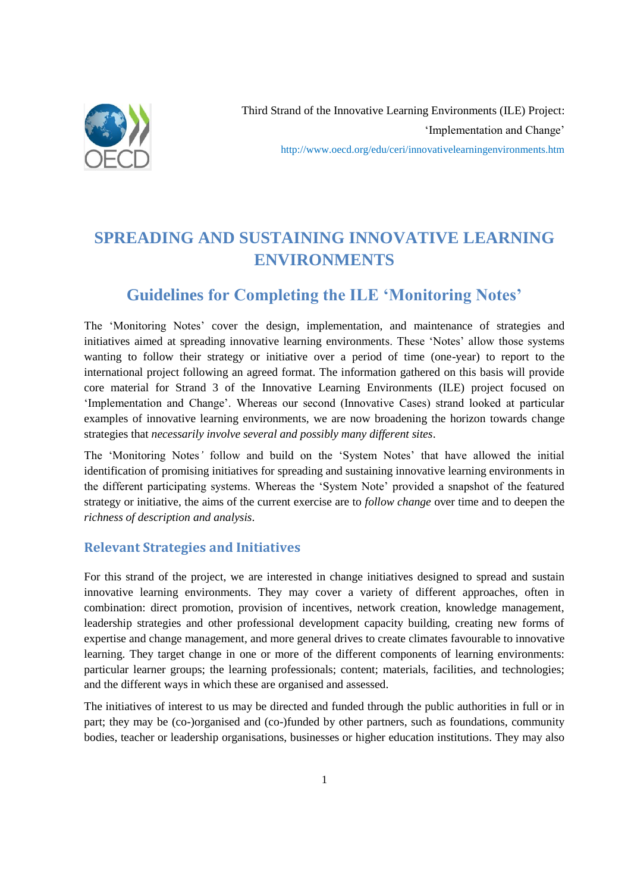

# **SPREADING AND SUSTAINING INNOVATIVE LEARNING ENVIRONMENTS**

## **Guidelines for Completing the ILE 'Monitoring Notes'**

The 'Monitoring Notes' cover the design, implementation, and maintenance of strategies and initiatives aimed at spreading innovative learning environments. These 'Notes' allow those systems wanting to follow their strategy or initiative over a period of time (one-year) to report to the international project following an agreed format. The information gathered on this basis will provide core material for Strand 3 of the Innovative Learning Environments (ILE) project focused on "Implementation and Change". Whereas our second (Innovative Cases) strand looked at particular examples of innovative learning environments, we are now broadening the horizon towards change strategies that *necessarily involve several and possibly many different sites*.

The "Monitoring Notes*'* follow and build on the "System Notes" that have allowed the initial identification of promising initiatives for spreading and sustaining innovative learning environments in the different participating systems. Whereas the "System Note" provided a snapshot of the featured strategy or initiative, the aims of the current exercise are to *follow change* over time and to deepen the *richness of description and analysis*.

## **Relevant Strategies and Initiatives**

For this strand of the project, we are interested in change initiatives designed to spread and sustain innovative learning environments. They may cover a variety of different approaches, often in combination: direct promotion, provision of incentives, network creation, knowledge management, leadership strategies and other professional development capacity building, creating new forms of expertise and change management, and more general drives to create climates favourable to innovative learning. They target change in one or more of the different components of learning environments: particular learner groups; the learning professionals; content; materials, facilities, and technologies; and the different ways in which these are organised and assessed.

The initiatives of interest to us may be directed and funded through the public authorities in full or in part; they may be (co-)organised and (co-)funded by other partners, such as foundations, community bodies, teacher or leadership organisations, businesses or higher education institutions. They may also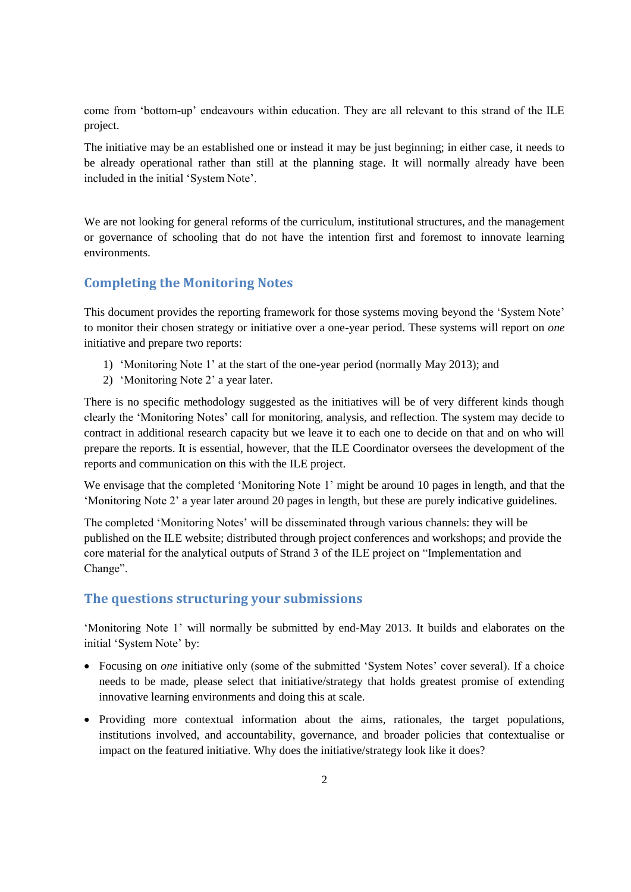come from "bottom-up" endeavours within education. They are all relevant to this strand of the ILE project.

The initiative may be an established one or instead it may be just beginning; in either case, it needs to be already operational rather than still at the planning stage. It will normally already have been included in the initial "System Note".

We are not looking for general reforms of the curriculum, institutional structures, and the management or governance of schooling that do not have the intention first and foremost to innovate learning environments.

## **Completing the Monitoring Notes**

This document provides the reporting framework for those systems moving beyond the "System Note" to monitor their chosen strategy or initiative over a one-year period. These systems will report on *one* initiative and prepare two reports:

- 1) "Monitoring Note 1" at the start of the one-year period (normally May 2013); and
- 2) "Monitoring Note 2" a year later.

There is no specific methodology suggested as the initiatives will be of very different kinds though clearly the "Monitoring Notes" call for monitoring, analysis, and reflection. The system may decide to contract in additional research capacity but we leave it to each one to decide on that and on who will prepare the reports. It is essential, however, that the ILE Coordinator oversees the development of the reports and communication on this with the ILE project.

We envisage that the completed 'Monitoring Note 1' might be around 10 pages in length, and that the "Monitoring Note 2" a year later around 20 pages in length, but these are purely indicative guidelines.

The completed "Monitoring Notes" will be disseminated through various channels: they will be published on the ILE website; distributed through project conferences and workshops; and provide the core material for the analytical outputs of Strand 3 of the ILE project on "Implementation and Change".

### **The questions structuring your submissions**

"Monitoring Note 1" will normally be submitted by end-May 2013. It builds and elaborates on the initial 'System Note' by:

- Focusing on *one* initiative only (some of the submitted 'System Notes' cover several). If a choice needs to be made, please select that initiative/strategy that holds greatest promise of extending innovative learning environments and doing this at scale.
- Providing more contextual information about the aims, rationales, the target populations, institutions involved, and accountability, governance, and broader policies that contextualise or impact on the featured initiative. Why does the initiative/strategy look like it does?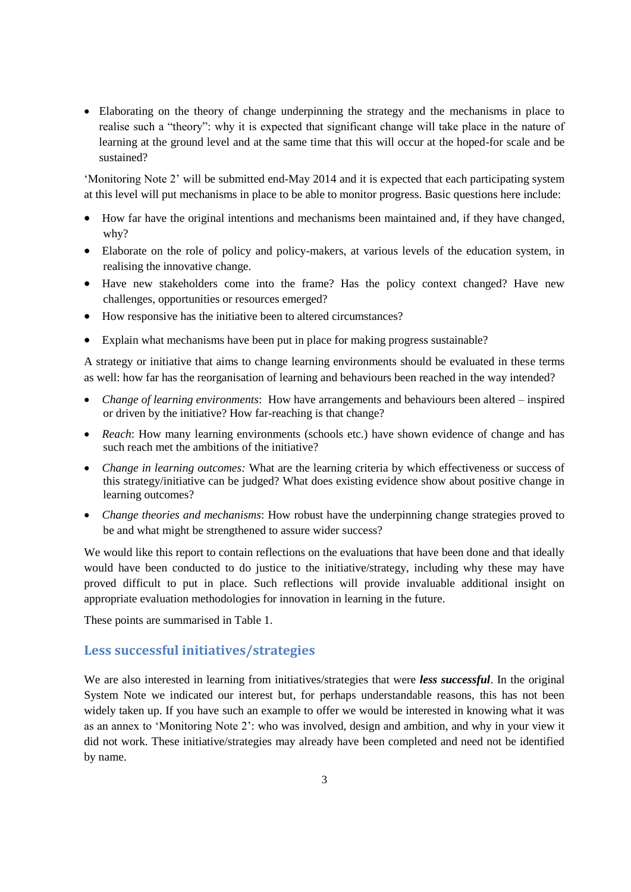Elaborating on the theory of change underpinning the strategy and the mechanisms in place to realise such a "theory": why it is expected that significant change will take place in the nature of learning at the ground level and at the same time that this will occur at the hoped-for scale and be sustained?

'Monitoring Note 2' will be submitted end-May 2014 and it is expected that each participating system at this level will put mechanisms in place to be able to monitor progress. Basic questions here include:

- How far have the original intentions and mechanisms been maintained and, if they have changed, why?
- Elaborate on the role of policy and policy-makers, at various levels of the education system, in realising the innovative change.
- Have new stakeholders come into the frame? Has the policy context changed? Have new challenges, opportunities or resources emerged?
- How responsive has the initiative been to altered circumstances?
- Explain what mechanisms have been put in place for making progress sustainable?

A strategy or initiative that aims to change learning environments should be evaluated in these terms as well: how far has the reorganisation of learning and behaviours been reached in the way intended?

- *Change of learning environments*: How have arrangements and behaviours been altered inspired or driven by the initiative? How far-reaching is that change?
- *Reach*: How many learning environments (schools etc.) have shown evidence of change and has such reach met the ambitions of the initiative?
- *Change in learning outcomes:* What are the learning criteria by which effectiveness or success of this strategy/initiative can be judged? What does existing evidence show about positive change in learning outcomes?
- *Change theories and mechanisms*: How robust have the underpinning change strategies proved to be and what might be strengthened to assure wider success?

We would like this report to contain reflections on the evaluations that have been done and that ideally would have been conducted to do justice to the initiative/strategy, including why these may have proved difficult to put in place. Such reflections will provide invaluable additional insight on appropriate evaluation methodologies for innovation in learning in the future.

These points are summarised in Table 1.

#### **Less successful initiatives/strategies**

We are also interested in learning from initiatives/strategies that were *less successful*. In the original System Note we indicated our interest but, for perhaps understandable reasons, this has not been widely taken up. If you have such an example to offer we would be interested in knowing what it was as an annex to "Monitoring Note 2": who was involved, design and ambition, and why in your view it did not work. These initiative/strategies may already have been completed and need not be identified by name.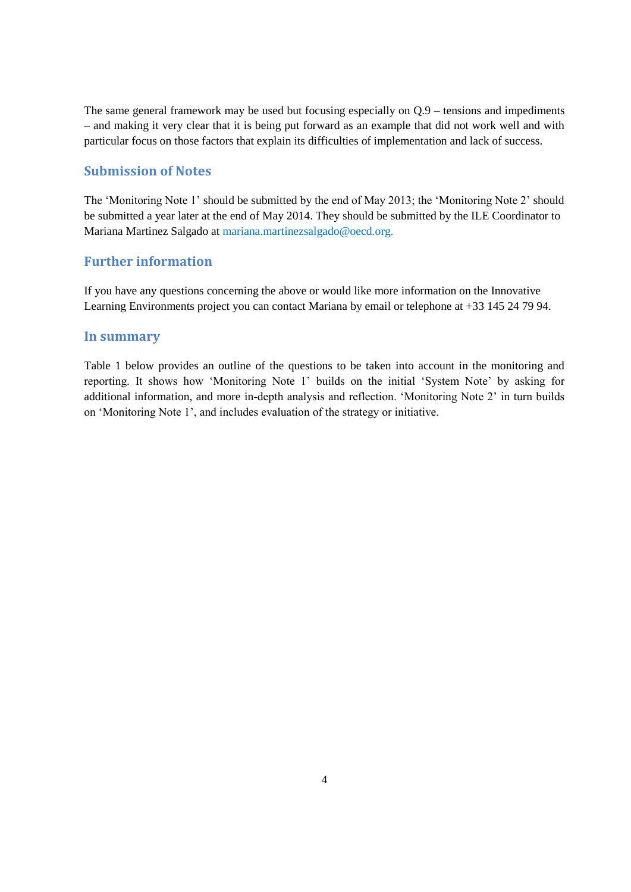The same general framework may be used but focusing especially on Q.9 – tensions and impediments – and making it very clear that it is being put forward as an example that did not work well and with particular focus on those factors that explain its difficulties of implementation and lack of success.

#### **Submission of Notes**

The "Monitoring Note 1" should be submitted by the end of May 2013; the "Monitoring Note 2" should be submitted a year later at the end of May 2014. They should be submitted by the ILE Coordinator to Mariana Martinez Salgado at [mariana.martinezsalgado@oecd.org.](mailto:mariana.martinezsalgado@oecd.org.)

## **Further information**

If you have any questions concerning the above or would like more information on the Innovative Learning Environments project you can contact Mariana by email or telephone at +33 145 24 79 94.

#### **In summary**

Table 1 below provides an outline of the questions to be taken into account in the monitoring and reporting. It shows how "Monitoring Note 1" builds on the initial "System Note" by asking for additional information, and more in-depth analysis and reflection. "Monitoring Note 2" in turn builds on "Monitoring Note 1", and includes evaluation of the strategy or initiative.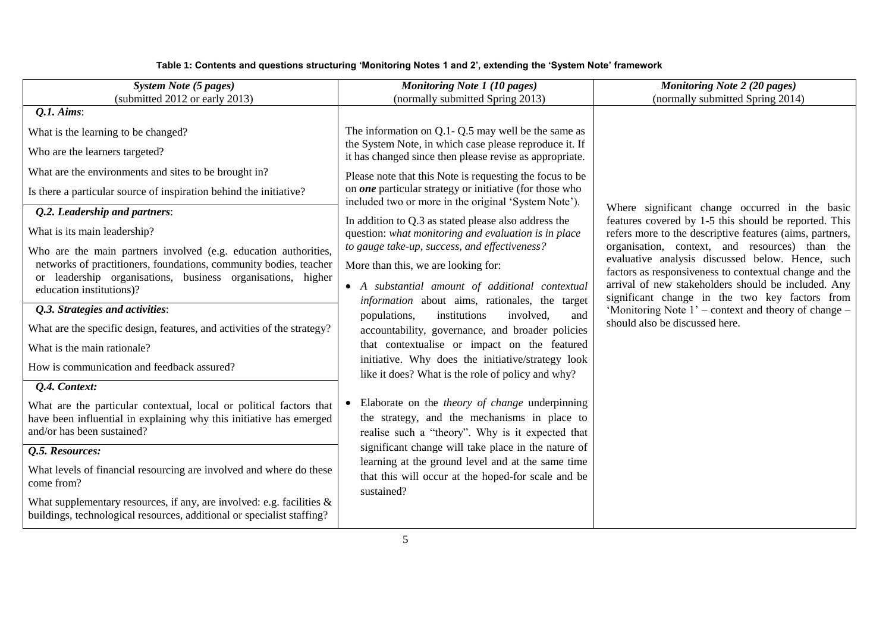#### **Table 1: Contents and questions structuring 'Monitoring Notes 1 and 2', extending the 'System Note' framework**